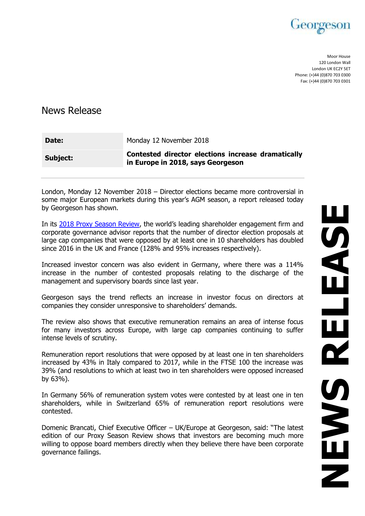

Moor House 120 London Wall London UK EC2Y 5ET Phone: (+)44 (0)870 703 0300 Fax: (+)44 (0)870 703 0301

News Release

| Date:    | Monday 12 November 2018                                                                 |
|----------|-----------------------------------------------------------------------------------------|
| Subject: | Contested director elections increase dramatically<br>in Europe in 2018, says Georgeson |

London, Monday 12 November 2018 – Director elections became more controversial in some major European markets during this year's AGM season, a report released today by Georgeson has shown.

In its [2018 Proxy Season Review,](https://www.georgeson.com/uk/2018-season-review) the world's leading shareholder engagement firm and corporate governance advisor reports that the number of director election proposals at large cap companies that were opposed by at least one in 10 shareholders has doubled since 2016 in the UK and France (128% and 95% increases respectively).

Increased investor concern was also evident in Germany, where there was a 114% increase in the number of contested proposals relating to the discharge of the management and supervisory boards since last year.

Georgeson says the trend reflects an increase in investor focus on directors at companies they consider unresponsive to shareholders' demands.

The review also shows that executive remuneration remains an area of intense focus for many investors across Europe, with large cap companies continuing to suffer intense levels of scrutiny.

Remuneration report resolutions that were opposed by at least one in ten shareholders increased by 43% in Italy compared to 2017, while in the FTSE 100 the increase was 39% (and resolutions to which at least two in ten shareholders were opposed increased by 63%).

In Germany 56% of remuneration system votes were contested by at least one in ten shareholders, while in Switzerland 65% of remuneration report resolutions were contested.

Domenic Brancati, Chief Executive Officer – UK/Europe at Georgeson, said: "The latest edition of our Proxy Season Review shows that investors are becoming much more willing to oppose board members directly when they believe there have been corporate governance failings.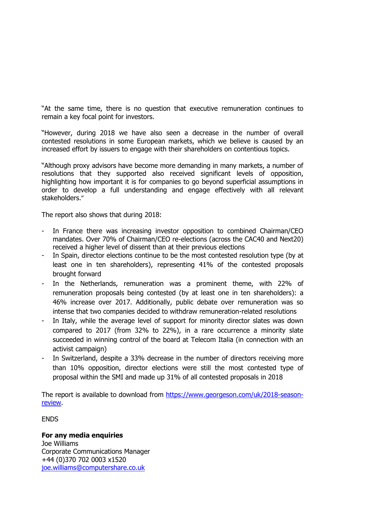"At the same time, there is no question that executive remuneration continues to remain a key focal point for investors.

"However, during 2018 we have also seen a decrease in the number of overall contested resolutions in some European markets, which we believe is caused by an increased effort by issuers to engage with their shareholders on contentious topics.

"Although proxy advisors have become more demanding in many markets, a number of resolutions that they supported also received significant levels of opposition, highlighting how important it is for companies to go beyond superficial assumptions in order to develop a full understanding and engage effectively with all relevant stakeholders."

The report also shows that during 2018:

- In France there was increasing investor opposition to combined Chairman/CEO mandates. Over 70% of Chairman/CEO re-elections (across the CAC40 and Next20) received a higher level of dissent than at their previous elections
- In Spain, director elections continue to be the most contested resolution type (by at least one in ten shareholders), representing 41% of the contested proposals brought forward
- In the Netherlands, remuneration was a prominent theme, with 22% of remuneration proposals being contested (by at least one in ten shareholders): a 46% increase over 2017. Additionally, public debate over remuneration was so intense that two companies decided to withdraw remuneration-related resolutions
- In Italy, while the average level of support for minority director slates was down compared to 2017 (from 32% to 22%), in a rare occurrence a minority slate succeeded in winning control of the board at Telecom Italia (in connection with an activist campaign)
- In Switzerland, despite a 33% decrease in the number of directors receiving more than 10% opposition, director elections were still the most contested type of proposal within the SMI and made up 31% of all contested proposals in 2018

The report is available to download from [https://www.georgeson.com/uk/2018-season](https://www.georgeson.com/uk/2018-season-review)[review.](https://www.georgeson.com/uk/2018-season-review)

ENDS

## **For any media enquiries**

Joe Williams Corporate Communications Manager +44 (0)370 702 0003 x1520 [joe.williams@computershare.co.uk](mailto:joe.williams@computershare.co.uk)